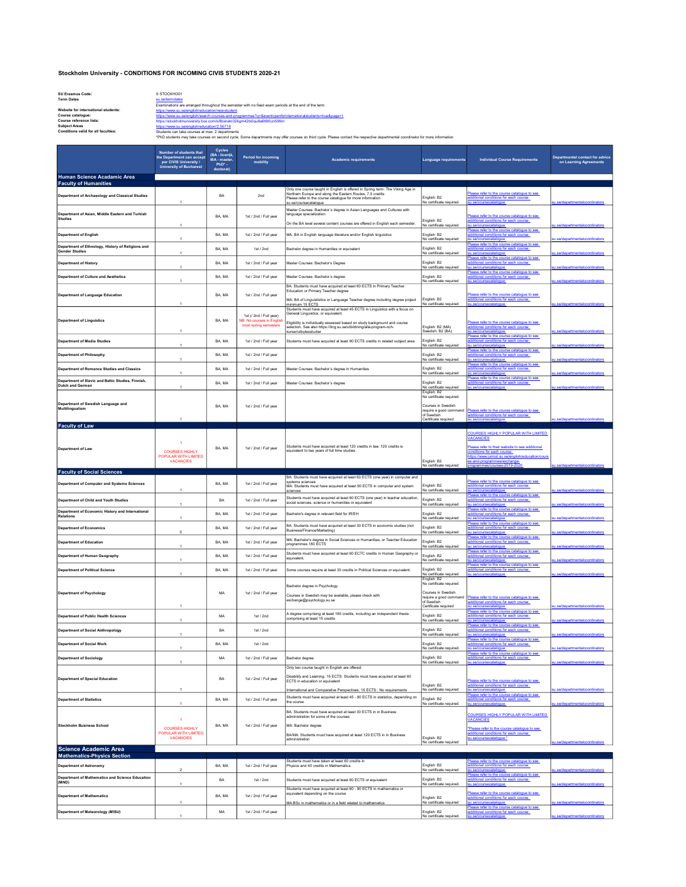## Stockholm University - CONDITIONS FOR INCOMING CIVIS STUDENTS 2020-21

SU Erasmus Code: S STOCKHO01 Term Dates su.se/termdates

nent of Social Anthropology

partment of Social Work

1

1

au serienmuates<br>Examinations are arranged throughout the semester with no fixed exam periods at the end of the term. Website for international students:<br>
Course catalogue: https://www.su.se/english/education/new-student<br>
Course reference lists:<br>
https://www.su.se/english/education/newsly.box.com/s/8b/vnam32k<br>
https://stockholmuniversity. https://www.su.se/english/search-courses-and-programmes?q=&eventopenfore

Course reference lists: https://stockholmuniversity.box.com/s/8bxnatn32kgm42tx0qu8a6t6t0un599m Subject Areas https://www.su.se/english/education/2.56718 Conditions valid for all faculties: Students can take courses at max 2 departments may offer courses on third cycle. Please contact the respective departmental coordinator for more information Number of students that the Department can accept per CIVIS University / University of Bucharest Cycles (BA - licență, MA - master, PhD\* - doctorat) Period for incom<br>mobility mobility Academic requirements Language requirements Individual Course Requirements Departmental contact for advice on Learning Agreements ice Acadamic Area Faculty of Humanities Department of Archaeology and Classical Studies BA 2nd Only one course taught in English is offered in Spring term: The Viking Age in Northern Europe and along the Eastern Routes, 7,5 credits Please refer to the course catalogue for more information su.se/coursecatalogue English: B2 No certificate required Prefer to the course catalogue to see additional conditions for each course: su.se/coursecatalogue su.se/departmentalcoordinators Department of Asian, Middle Eastern and Turkish Studies 1 BA, MA 1st / 2nd / Full year Master Courses: Bachelor´s degree in Asian Languages and Cultures with language specialization. n the BA level several content courses are offered in English each s English: B2 ng<br>No certificate er to the cou additional conditions for each course: ursecatalogue epartment of English 1 BA, MA 1st / 2nd / Full year MA: BA in English language literature and/or English linguistics nglish: B2<br>b certificate Please refer to the course catalogue to see additional conditions for each course: su.se/coursecatalogue su.se/departmentalcoordinators<br>Please refer to the course catalogue to see Department of Ethnology, History of Religions and Gender Studies <sup>1</sup> BA, MA 1st / 2nd Bachelor degree in Humanities or equivalent inglish: B2<br>Io certificate ditional conditions for each course: su.se/coursecatalogue su.se/departmentalcoordinators partment of History 1 BA, MA 1st / 2nd / Full year Master Courses: Bachelor's Degree English: B2 o certificate Please refer to the course catalogue to see additional conditions for each course: su.se/coursecatalogue su.se/departmentalcoordinators Department of Culture and Aesthetics 1 BA, MA 1st / 2nd / Full year Master Courses: Bachelor's degree .<br>Io certificate<br>Io certificate Please refer to the course catalogue to see additional conditions for each course: su.se/coursecatalogue su.se/departmentalcoordinators Department of Language Education BA, MA 1st / 2nd / Full year BA: Students must have acquired at least 60 ECTS in Primary Teacher Education or Primary Teacher degree MA: BA of Linguististics or Language Teacher degree including degree project minimum 15 ECTS Students must have acquired at least 45 ECTS in Linguistics with a focus on General Linguistics, or equivalent. English: B2 No certificate required Please refer to the course catalogue to see additional conditions for each course: su.se/coursecatalogue su.se/departmentalcoordinators tment of Linguistics 1 BA, MA 1st (/ 2nd / Full year) NB: No courses in English most spring semesters Eligibility is individually assessed based on study background and course selection. See also https://ling.su.se/utbildning/alla-program-och-kurser/utbytesstudier English: B2 (MA) Swedish: B2 (BA) Please refer to the course catalogue to see additional conditions for each course: su.se/coursecatalogue su.se/departmentalcoordinators Department of Media Studies 1 BA, MA 1st / 2nd / Full year Students must have acquired at least 90 ECTS credits in related subject area .<br>Inglish: B2<br>Io certificate Please refer to the course catalogue to see additional conditions for each course: su.se/coursecatalogue su.se/departmentalcoordinators ——<br>epartment of Philosophy 1 BA, MA 1st / 2nd / Full year nglish: B2<br>o certificate Please refer to the course catalogue to see additional conditions for each course: su.se/coursecatalogue su.se/departmentalcoordinators **partment of Romance Studies and Classics** 1 BA, MA 1st / 2nd / Full year Master Courses: Bachelor's degree in Humanities nglish: B2<br>b certificate Please refer to the course catalogue to see additional conditions for each course: su.se/coursecatalogue su.se/departmentalcoordinators Department of Slavic and Baltic Studies, Finnish, Dutch and German <sup>1</sup> BA, MA 1st / 2nd / Full year Master Courses: Bachelor's degree Courses: English: B2 No certificate required English: B2 Please refer to the course catalogue to see additional conditions for each course: su.se/coursecatalogue su.se/departmentalcoordinators Department of Swedish Language and Multilingualism 1 BA, MA 1st / 2nd / Full year No certificate required Courses in Swedish require a good command f .<br>swe Certificate required please to the course catalog additional conditions for each course: su.se/coursecatalogue su.se/departmentalcoordinators Faculty of Law ent of Law 1 COURSES HIGHLY POPULAR WITH LIMITED VACANCIES BA, MA 1st / 2nd / Full year Students must have acquired at least 120 credits in law. 120 credits is equivalent to two years of full time studies. English: B2 No certificate required **OURSES HIGHLY POPULAR WITH LIMITED VACANCIES Pase refer to their we** conditions for each course: https://www.jurinst.su.se/english/education/cours es-and-programmes/exchangeprogrammes/courses-2019-2020 su.se/departmentalcoordinators Faculty of Social Sciences artment of Computer and Systems Sciences 1 BA, MA 1st / 2nd / Full year BA: Students must have acquired at least 60 ECTS (one year) in computer and<br>systems sciences<br>MA: Students must have acquired at least 90 ECTS in computer and system ences English: B2 No certificate required ase refer to the course catalogue to see additional conditions for each course: su.se/coursecatalogue su.se/departmentalcoordinators<br>Please refer to the course catalogue to see artment of Child and Youth Studies 1 BA 1st / 2nd / Full year Students must have acquired at least 60 ECTS (one year) in teacher education, English: B2 nglish: B2<br>b certificate ditional conditions for each course: su.se/coursecatal<u>ogue su.se/departmentalcoordinators</u><br>Please refer to the course catalogue to see subsections for each course catalogue and the course of the additions<br>additional conditions for each course: Department of Economic History and International Relations <sup>1</sup> BA, MA 1st / 2nd / Full year Bachelor's degree in relevant field for IR/EH English: B2 o certificate su.se/coursecatalogue su.se/departmentalcoordinators Department of Economics 5 BA, MA 1st / 2nd / Full year BA: Students must have acquired at least 30 ECTS in economis studies (not English: B2<br>Business/Finance/Marketing) inglish: B2<br><u>Io certificate</u> Please refer to the course catalogue to see additional conditions for each course: su.se/coursecatalogue su.se/departmentalcoordinators **Dartment of Education** 1 BA, MA 1st / 2nd / Full year MA: Bachelor's degree in Social Sciences or Humanities, or Teacher Education English: B2 nglish: B2<br>b certificat Please refer to the course catalogue to see additional conditions for each course: su.se/coursecatalogue su.se/departmentalcoordinators partment of Human Geography 1 BA, MA 1st / 2nd / Full year Students must have acquired at least 60 ECTC credits in Human Geography or English: B2 nglish: B2<br>b certificat Please refer to the course catalogue to see additional conditions for each course: <u>su.se/coursecatalogue su.se/departmentalcoordinators</u><br>Please refer to the course catalogue to see Department of Political Science 1 BA, MA 1st / 2nd / Full year Some courses require at least 30 credits in Political Sciences or equivalent. English: B2 No certificate required English: B2 additional conditions for each course: su.se/coursecatalogue su.se/departmentalcoordinators Department of Psychology 1 MA 1st / 2nd / Full year chelor degree in Psychology Courses in Swedish may be available, please check with exchange@psychology.su.se No certificate required Courses in Swedish require a good command of Swedish Certificate require Please refer to the course catalogue to see additional conditions for each course: <br><u>su.se/coursecatalogue</u><br>Please refer to the course catalogue to see **and the course of the course catalogue to see a**<br>additional conditions for each course: **partment of Public Health Sciences** 1 1st / 2nd A degree comprising at least 180 credits, including an independent thesis [ English: B2<br>محافظة المصدر المصدر المصدر المصدر المصدر المصدر المصدر المصدر المصدر المصدر المصدر المصدر المصدر المصدر المصد nglish: B2<br>o certificate su.se/coursecatalogue<br>Please refer to the course catalogue to see

|                                                                 |                                                            |        |                       |                                                                                                                                                                                                                                         |                                        | Please refer to the course catalogue to see                                                                                                                                         |                                |
|-----------------------------------------------------------------|------------------------------------------------------------|--------|-----------------------|-----------------------------------------------------------------------------------------------------------------------------------------------------------------------------------------------------------------------------------------|----------------------------------------|-------------------------------------------------------------------------------------------------------------------------------------------------------------------------------------|--------------------------------|
| <b>Department of Sociology</b>                                  |                                                            | MA     | 1st / 2nd / Full year | Bachelor degree                                                                                                                                                                                                                         | English: B2<br>No certificate required | additional conditions for each course:<br>su.se/coursecatalogue                                                                                                                     | su.se/departmentalcoordinators |
| <b>Department of Special Education</b>                          |                                                            | BA     | 1st / 2nd / Full year | Only two course taught in English are offered:<br>Disability and Learning, 15 ECTS: Students must have acquired at least 60<br>ECTS in education or equivalent<br>International and Comparative Perspectives, 15 ECTS : No requirements | English: B2<br>No certificate required | Please refer to the course catalogue to see<br>additional conditions for each course:<br>su.se/coursecatalogue                                                                      | su.se/departmentalcoordinators |
| <b>Department of Statistics</b>                                 |                                                            | BA, MA | 1st / 2nd / Full vear | Students must have acquired at least 45 - 90 ECTS in statistics, depending on<br>the course                                                                                                                                             | English: B2<br>No certificate required | Please refer to the course catalogue to see<br>additional conditions for each course:<br>su.se/coursecatalogue                                                                      | su.se/departmentalcoordinators |
| Stockholm Business School                                       | COURSES HIGHLY<br>POPULAR WITH LIMITED<br><b>VACANCIES</b> | BA, MA | 1st / 2nd / Full year | BA: Students must have acquired at least 30 ECTS in in Business<br>administration for some of the courses<br>MA: Bachelor degree<br>BA/MA: Students must have acquired at least 120 ECTS in in Business<br>administration               | English: B2<br>No certificate required | <b>COURSES HIGHLY POPULAR WITH LIMITED</b><br><b>VACANCIES</b><br>*Please refer to the course catalogue to see<br>additional conditions for each course:<br>su.se/coursecatalogue * | su.se/departmentalcoordinators |
| <b>Science Academic Area</b>                                    |                                                            |        |                       |                                                                                                                                                                                                                                         |                                        |                                                                                                                                                                                     |                                |
| <b>Mathematics-Physics Section</b>                              |                                                            |        |                       |                                                                                                                                                                                                                                         |                                        |                                                                                                                                                                                     |                                |
| <b>Department of Astronomy</b>                                  | $\overline{2}$                                             | BA, MA | 1st / 2nd / Full year | Students must have taken at least 60 credits in<br>Physics and 40 credits in Mathematics.                                                                                                                                               | English: B2<br>No certificate required | Please refer to the course catalogue to see<br>additional conditions for each course:<br>su.se/coursecatalogue                                                                      | su.se/departmentalcoordinators |
| <b>Department of Mathematics and Science Education</b><br>(MND) |                                                            | BA     | 1st/2nd               | Students must have acquired at least 60 ECTS or equivalent                                                                                                                                                                              | English: B2<br>No certificate required | Please refer to the course catalogue to see<br>additional conditions for each course:<br>su.se/coursecatalogue                                                                      | su.se/departmentalcoordinators |
| <b>Department of Mathematics</b>                                |                                                            | BA, MA | 1st / 2nd / Full year | Students must have acquired at least 60 - 90 ECTS in mathematics or<br>equivalent depending on the course<br>MA:BSc in mathematics or in a field related to mathematics                                                                 | English: B2<br>No certificate required | Please refer to the course catalogue to see<br>additional conditions for each course:<br>su.se/coursecatalogue                                                                      | su seldenartmentalcoordinators |
| Department of Meteorology (MISU)                                |                                                            | MA     | 1st / 2nd / Full year |                                                                                                                                                                                                                                         | English: B2<br>No certificate required | Please refer to the course catalogue to see<br>additional conditions for each course:<br>su.se/coursecatalogue                                                                      | su seldenartmentalcoordinators |

BA 1st / 2nd English: B2

BA, MA | 1st / 2nd | 2nd English: B2

nglish: B2<br>o certificate

No certificate required

ditional conditions for each course:

su.se/coursecatalogue su.se/departmentalcoordinators<br>Please refer to the course catalogue to see subsequent for each course:<br>additional conditions for each course:

su.se/coursecatalogue su.se/departmentalcoordinators